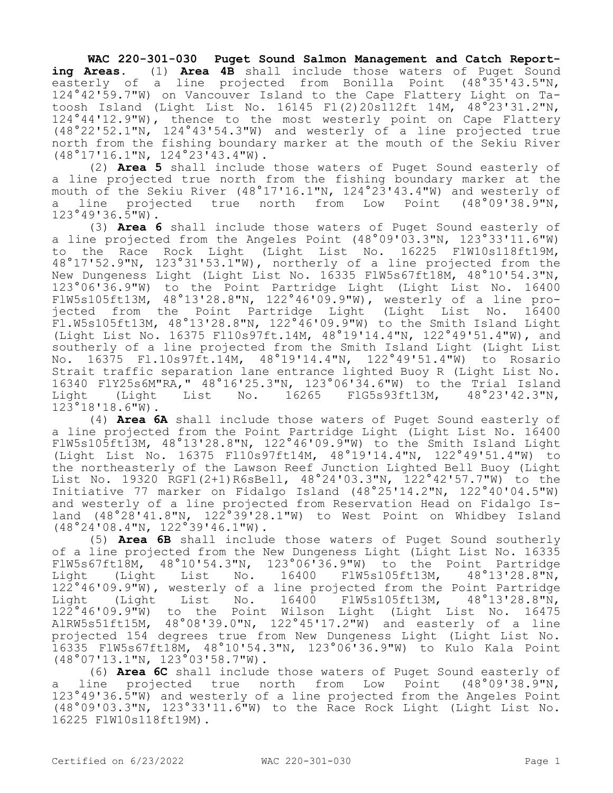**WAC 220-301-030 Puget Sound Salmon Management and Catch Reporting Areas.** (1) **Area 4B** shall include those waters of Puget Sound easterly of a line projected from Bonilla Point (48°35'43.5"N, 124°42'59.7"W) on Vancouver Island to the Cape Flattery Light on Tatoosh Island (Light List No. 16145 Fl(2)20s112ft 14M, 48°23'31.2"N, 124°44'12.9"W), thence to the most westerly point on Cape Flattery (48°22'52.1"N, 124°43'54.3"W) and westerly of a line projected true north from the fishing boundary marker at the mouth of the Sekiu River (48°17'16.1"N, 124°23'43.4"W).

(2) **Area 5** shall include those waters of Puget Sound easterly of a line projected true north from the fishing boundary marker at the mouth of the Sekiu River (48°17'16.1"N, 124°23'43.4"W) and westerly of a line projected true north from Low Point (48°09'38.9"N,  $123°49'36.\overline{5"W}$ .

(3) **Area 6** shall include those waters of Puget Sound easterly of a line projected from the Angeles Point  $(48°09'03.3"N, 123°33'11.6"W)$ to the Race Rock Light (Light List No. 16225 FlW10s118ft19M, 48°17'52.9"N, 123°31'53.1"W), northerly of a line projected from the New Dungeness Light (Light List No. 16335 FlW5s67ft18M, 48°10'54.3"N, 123°06'36.9"W) to the Point Partridge Light (Light List No. 16400 FlW5s105ft13M, 48°13'28.8"N, 122°46'09.9"W), westerly of a line projected from the Point Partridge Light (Light List No. 16400 Fl.W5s105ft13M, 48°13'28.8"N, 122°46'09.9"W) to the Smith Island Light (Light List No. 16375 Fl10s97ft.14M, 48°19'14.4"N, 122°49'51.4"W), and southerly of a line projected from the Smith Island Light (Light List No. 16375 Fl.10s97ft.14M, 48°19'14.4"N, 122°49'51.4"W) to Rosario Strait traffic separation lane entrance lighted Buoy R (Light List No. 16340 FlY25s6M"RA," 48°16'25.3"N, 123°06'34.6"W) to the Trial Island  $FIG5s93ft13M,$ 123°18'18.6"W).

(4) **Area 6A** shall include those waters of Puget Sound easterly of a line projected from the Point Partridge Light (Light List No. 16400 FlW5s105ft13M, 48°13'28.8"N, 122°46'09.9"W) to the Smith Island Light (Light List No. 16375 Fl10s97ft14M, 48°19'14.4"N, 122°49'51.4"W) to the northeasterly of the Lawson Reef Junction Lighted Bell Buoy (Light List No. 19320 RGFl(2+1)R6sBell, 48°24'03.3"N, 122°42'57.7"W) to the Initiative 77 marker on Fidalgo Island (48°25'14.2"N, 122°40'04.5"W) and westerly of a line projected from Reservation Head on Fidalgo Island (48°28'41.8"N, 122°39'28.1"W) to West Point on Whidbey Island (48°24'08.4"N, 122°39'46.1"W).

(5) **Area 6B** shall include those waters of Puget Sound southerly of a line projected from the New Dungeness Light (Light List No. 16335 FlW5s67ft18M, 48°10'54.3"N, 123°06'36.9"W) to the Point Partridge Light (Light List No. 16400 FlW5s105ft13M, 122°46'09.9"W), westerly of a line projected from the Point Partridge Light (Light List No. 16400 FlW5s105ft13M, 48°13'28.8"N, 122°46'09.9"W) to the Point Wilson Light (Light List No. 16475 AlRW5s51ft15M, 48°08'39.0"N, 122°45'17.2"W) and easterly of a line projected 154 degrees true from New Dungeness Light (Light List No. 16335 FlW5s67ft18M, 48°10'54.3"N, 123°06'36.9"W) to Kulo Kala Point (48°07'13.1"N, 123°03'58.7"W).

(6) **Area 6C** shall include those waters of Puget Sound easterly of line projected true north from Low Point (48°09'38.9"N, 123°49'36.5"W) and westerly of a line projected from the Angeles Point (48°09'03.3"N, 123°33'11.6"W) to the Race Rock Light (Light List No. 16225 FlW10s118ft19M).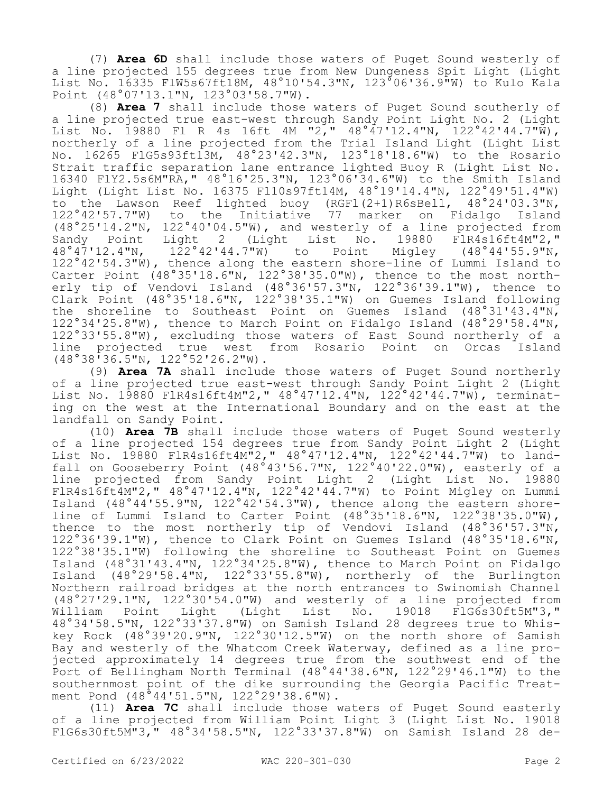(7) **Area 6D** shall include those waters of Puget Sound westerly of a line projected 155 degrees true from New Dungeness Spit Light (Light List No. 16335 FlW5s67ft18M, 48°10'54.3"N, 123°06'36.9"W) to Kulo Kala Point (48°07'13.1"N, 123°03'58.7"W).

(8) **Area 7** shall include those waters of Puget Sound southerly of a line projected true east-west through Sandy Point Light No. 2 (Light List No. 19880 Fl R 4s 16ft 4M "2," 48°47'12.4"N, 122°42'44.7"W), northerly of a line projected from the Trial Island Light (Light List No. 16265 FlG5s93ft13M, 48°23'42.3"N, 123°18'18.6"W) to the Rosario Strait traffic separation lane entrance lighted Buoy R (Light List No. 16340 FlY2.5s6M"RA," 48°16'25.3"N, 123°06'34.6"W) to the Smith Island Light (Light List No. 16375 Fl10s97ft14M, 48°19'14.4"N, 122°49'51.4"W) to the Lawson Reef lighted buoy (RGFl(2+1)R6sBell, 48°24'03.3"N, 122°42'57.7"W) to the Initiative 77 marker on Fidalgo Island (48°25'14.2"N, 122°40'04.5"W), and westerly of a line projected from Sandy Point Light 2 (Light List No. 19880 FlR4s16ft4M"2," 48°47'12.4"N, 122°42'44.7"W) to Point Migley (48°44'55.9"N, 122°42'54.3"W), thence along the eastern shore-line of Lummi Island to Carter Point (48°35'18.6"N, 122°38'35.0"W), thence to the most northerly tip of Vendovi Island (48°36'57.3"N, 122°36'39.1"W), thence to Clark Point (48°35'18.6"N, 122°38'35.1"W) on Guemes Island following the shoreline to Southeast Point on Guemes Island (48°31'43.4"N, 122°34'25.8"W), thence to March Point on Fidalgo Island (48°29'58.4"N, 122°33'55.8"W), excluding those waters of East Sound northerly of a<br>line projected true west from Rosario Point on Orcas Island line projected true west from Rosario Point (48°38'36.5"N, 122°52'26.2"W).

(9) **Area 7A** shall include those waters of Puget Sound northerly of a line projected true east-west through Sandy Point Light 2 (Light List No. 19880 F1R4s16ft4M"2," 48°47'12.4"N, 122°42'44.7"W), terminating on the west at the International Boundary and on the east at the landfall on Sandy Point.

(10) **Area 7B** shall include those waters of Puget Sound westerly of a line projected 154 degrees true from Sandy Point Light 2 (Light List No. 19880 F1R4s16ft4M"2," 48°47'12.4"N, 122°42'44.7"W) to landfall on Gooseberry Point (48°43'56.7"N, 122°40'22.0"W), easterly of a line projected from Sandy Point Light 2 (Light List No. 19880 FlR4s16ft4M"2," 48°47'12.4"N, 122°42'44.7"W) to Point Migley on Lummi Island (48°44'55.9"N, 122°42'54.3"W), thence along the eastern shoreline of Lummi Island to Carter Point (48°35'18.6"N, 122°38'35.0"W), thence to the most northerly tip of Vendovi Island (48°36'57.3"N, 122°36'39.1"W), thence to Clark Point on Guemes Island (48°35'18.6"N, 122°38'35.1"W) following the shoreline to Southeast Point on Guemes Island (48°31'43.4"N, 122°34'25.8"W), thence to March Point on Fidalgo Island (48°29'58.4"N, 122°33'55.8"W), northerly of the Burlington Northern railroad bridges at the north entrances to Swinomish Channel (48°27'29.1"N, 122°30'54.0"W) and westerly of a line projected from  $(Light$  List No. 19018 FlG6s30ft5M"3," 48°34'58.5"N, 122°33'37.8"W) on Samish Island 28 degrees true to Whiskey Rock (48°39'20.9"N, 122°30'12.5"W) on the north shore of Samish Bay and westerly of the Whatcom Creek Waterway, defined as a line projected approximately 14 degrees true from the southwest end of the Port of Bellingham North Terminal (48°44'38.6"N, 122°29'46.1"W) to the southernmost point of the dike surrounding the Georgia Pacific Treatment Pond (48°44'51.5"N, 122°29'38.6"W).

(11) **Area 7C** shall include those waters of Puget Sound easterly of a line projected from William Point Light 3 (Light List No. 19018 FlG6s30ft5M"3," 48°34'58.5"N, 122°33'37.8"W) on Samish Island 28 de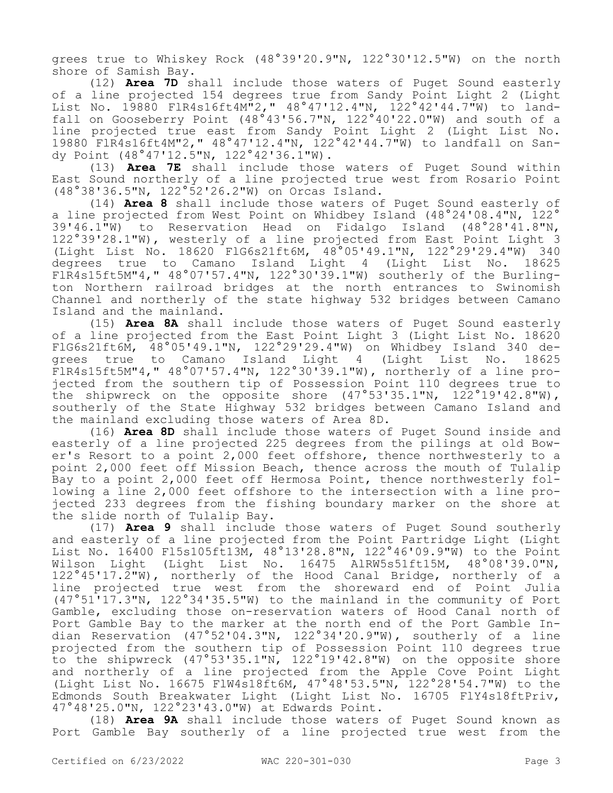grees true to Whiskey Rock (48°39'20.9"N, 122°30'12.5"W) on the north shore of Samish Bay.

(12) **Area 7D** shall include those waters of Puget Sound easterly of a line projected 154 degrees true from Sandy Point Light 2 (Light List No. 19880 FlR4s16ft4M"2," 48°47'12.4"N, 122°42'44.7"W) to landfall on Gooseberry Point (48°43'56.7"N, 122°40'22.0"W) and south of a line projected true east from Sandy Point Light 2 (Light List No. 19880 FlR4s16ft4M"2," 48°47'12.4"N, 122°42'44.7"W) to landfall on Sandy Point (48°47'12.5"N, 122°42'36.1"W).

(13) **Area 7E** shall include those waters of Puget Sound within East Sound northerly of a line projected true west from Rosario Point (48°38'36.5"N, 122°52'26.2"W) on Orcas Island.

(14) **Area 8** shall include those waters of Puget Sound easterly of a line projected from West Point on Whidbey Island (48°24'08.4"N, 122° 39'46.1"W) to Reservation Head on Fidalgo Island (48°28'41.8"N, 122°39'28.1"W), westerly of a line projected from East Point Light 3 (Light List No. 18620 FlG6s21ft6M, 48°05'49.1"N, 122°29'29.4"W) 340 degrees true to Camano Island Light 4 (Light List No. 18625 FlR4s15ft5M"4," 48°07'57.4"N, 122°30'39.1"W) southerly of the Burlington Northern railroad bridges at the north entrances to Swinomish Channel and northerly of the state highway 532 bridges between Camano Island and the mainland.

(15) **Area 8A** shall include those waters of Puget Sound easterly of a line projected from the East Point Light 3 (Light List No. 18620 FlG6s21ft6M, 48°05'49.1"N, 122°29'29.4"W) on Whidbey Island 340 degrees true to Camano Island Light 4 (Light List No. 18625 FlR4s15ft5M"4," 48°07'57.4"N, 122°30'39.1"W), northerly of a line projected from the southern tip of Possession Point 110 degrees true to the shipwreck on the opposite shore (47°53'35.1"N, 122°19'42.8"W), southerly of the State Highway 532 bridges between Camano Island and the mainland excluding those waters of Area 8D.

(16) **Area 8D** shall include those waters of Puget Sound inside and easterly of a line projected 225 degrees from the pilings at old Bower's Resort to a point 2,000 feet offshore, thence northwesterly to a point 2,000 feet off Mission Beach, thence across the mouth of Tulalip Bay to a point 2,000 feet off Hermosa Point, thence northwesterly following a line 2,000 feet offshore to the intersection with a line projected 233 degrees from the fishing boundary marker on the shore at the slide north of Tulalip Bay.

(17) **Area 9** shall include those waters of Puget Sound southerly and easterly of a line projected from the Point Partridge Light (Light List No. 16400 Fl5s105ft13M, 48°13'28.8"N, 122°46'09.9"W) to the Point Wilson Light (Light List No. 16475 AlRW5s51ft15M, 48°08'39.0"N, 122°45'17.2"W), northerly of the Hood Canal Bridge, northerly of a line projected true west from the shoreward end of Point Julia (47°51'17.3"N, 122°34'35.5"W) to the mainland in the community of Port Gamble, excluding those on-reservation waters of Hood Canal north of Port Gamble Bay to the marker at the north end of the Port Gamble Indian Reservation (47°52'04.3"N, 122°34'20.9"W), southerly of a line projected from the southern tip of Possession Point 110 degrees true to the shipwreck (47°53'35.1"N, 122°19'42.8"W) on the opposite shore and northerly of a line projected from the Apple Cove Point Light (Light List No. 16675 FlW4s18ft6M, 47°48'53.5"N, 122°28'54.7"W) to the Edmonds South Breakwater Light (Light List No. 16705 FlY4s18ftPriv, 47°48'25.0"N, 122°23'43.0"W) at Edwards Point.

(18) **Area 9A** shall include those waters of Puget Sound known as Port Gamble Bay southerly of a line projected true west from the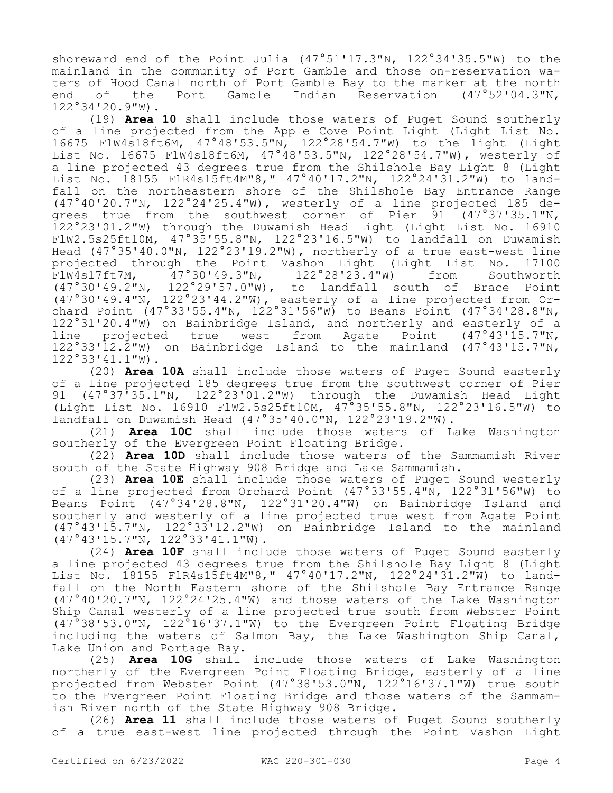shoreward end of the Point Julia (47°51'17.3"N, 122°34'35.5"W) to the mainland in the community of Port Gamble and those on-reservation waters of Hood Canal north of Port Gamble Bay to the marker at the north<br>end of the Port Gamble Indian Reservation (47°52'04.3"N, end of the Port Gamble Indian Reservation (47°52'04.3"N, 122°34'20.9"W).

(19) **Area 10** shall include those waters of Puget Sound southerly of a line projected from the Apple Cove Point Light (Light List No. 16675 FlW4s18ft6M, 47°48'53.5"N, 122°28'54.7"W) to the light (Light List No. 16675 FlW4s18ft6M, 47°48'53.5"N, 122°28'54.7"W), westerly of a line projected 43 degrees true from the Shilshole Bay Light 8 (Light List No. 18155 FlR4s15ft4M"8," 47°40'17.2"N, 122°24'31.2"W) to landfall on the northeastern shore of the Shilshole Bay Entrance Range (47°40'20.7"N, 122°24'25.4"W), westerly of a line projected 185 degrees true from the southwest corner of Pier 91 (47°37'35.1"N, 122°23'01.2"W) through the Duwamish Head Light (Light List No. 16910 FlW2.5s25ft10M, 47°35'55.8"N, 122°23'16.5"W) to landfall on Duwamish Head (47°35'40.0"N, 122°23'19.2"W), northerly of a true east-west line<br>projected through the Point Vashon Light (Light List No. 17100 projected through the Point Vashon Light (Light List No.<br>FlW4s17ft7M, 47°30'49.3"N, 122°28'23.4"W) from Sout  $\frac{1}{47}$ °30'49.3"N, 122°28'23.4"W) from Southworth (47°30'49.2"N, 122°29'57.0"W), to landfall south of Brace Point (47°30'49.4"N, 122°23'44.2"W), easterly of a line projected from Orchard Point (47°33'55.4"N, 122°31'56"W) to Beans Point (47°34'28.8"N, 122°31'20.4"W) on Bainbridge Island, and northerly and easterly of a line projected true west from Agate Point (47°43'15.7"N, 122°33'12.2"W) on Bainbridge Island to the mainland (47°43'15.7"N, 122°33'41.1"W).

(20) **Area 10A** shall include those waters of Puget Sound easterly of a line projected 185 degrees true from the southwest corner of Pier<br>91 (47°37'35.1"N. 122°23'01.2"W) through the Duwamish Head Light  $(47°37'35.1"N, 122°23'01.2"W)$  through the Duwamish Head Light (Light List No. 16910 FlW2.5s25ft10M, 47°35'55.8"N, 122°23'16.5"W) to landfall on Duwamish Head (47°35'40.0"N, 122°23'19.2"W).

(21) **Area 10C** shall include those waters of Lake Washington southerly of the Evergreen Point Floating Bridge.

(22) **Area 10D** shall include those waters of the Sammamish River south of the State Highway 908 Bridge and Lake Sammamish.

(23) **Area 10E** shall include those waters of Puget Sound westerly of a line projected from Orchard Point (47°33'55.4"N, 122°31'56"W) to Beans Point (47°34'28.8"N, 122°31'20.4"W) on Bainbridge Island and southerly and westerly of a line projected true west from Agate Point (47°43'15.7"N, 122°33'12.2"W) on Bainbridge Island to the mainland (47°43'15.7"N, 122°33'41.1"W).

(24) **Area 10F** shall include those waters of Puget Sound easterly a line projected 43 degrees true from the Shilshole Bay Light 8 (Light List No. 18155 FlR4s15ft4M"8," 47°40'17.2"N, 122°24'31.2"W) to landfall on the North Eastern shore of the Shilshole Bay Entrance Range (47°40'20.7"N, 122°24'25.4"W) and those waters of the Lake Washington Ship Canal westerly of a line projected true south from Webster Point (47°38'53.0"N, 122°16'37.1"W) to the Evergreen Point Floating Bridge including the waters of Salmon Bay, the Lake Washington Ship Canal, Lake Union and Portage Bay.

(25) **Area 10G** shall include those waters of Lake Washington northerly of the Evergreen Point Floating Bridge, easterly of a line projected from Webster Point (47°38'53.0"N, 122°16'37.1"W) true south to the Evergreen Point Floating Bridge and those waters of the Sammamish River north of the State Highway 908 Bridge.

(26) **Area 11** shall include those waters of Puget Sound southerly of a true east-west line projected through the Point Vashon Light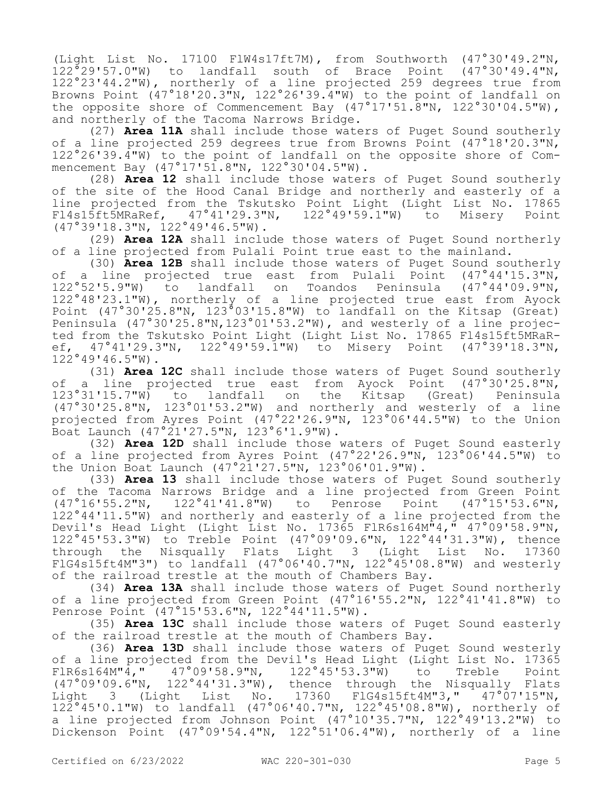(Light List No. 17100 FlW4s17ft7M), from Southworth (47°30'49.2"N, 122°29'57.0"W) to landfall south of Brace Point (47°30'49.4"N, 122°23'44.2"W), northerly of a line projected 259 degrees true from Browns Point (47°18'20.3"N, 122°26'39.4"W) to the point of landfall on the opposite shore of Commencement Bay  $(47°17'51.\overline{8}''N, 122°30'04.5''W)$ , and northerly of the Tacoma Narrows Bridge.

(27) **Area 11A** shall include those waters of Puget Sound southerly of a line projected 259 degrees true from Browns Point (47°18'20.3"N, 122°26'39.4"W) to the point of landfall on the opposite shore of Commencement Bay (47°17'51.8"N, 122°30'04.5"W).

(28) **Area 12** shall include those waters of Puget Sound southerly of the site of the Hood Canal Bridge and northerly and easterly of a line projected from the Tskutsko Point Light (Light List No. 17865<br>Fl4s15ft5MRaRef, 47°41'29.3"N, 122°49'59.1"W) to Misery Point Fl4s15ft5MRaRef, 47°41'29.3"N, 122°49'59.1"W) to Misery Point (47°39'18.3"N, 122°49'46.5"W).

(29) **Area 12A** shall include those waters of Puget Sound northerly of a line projected from Pulali Point true east to the mainland.

(30) **Area 12B** shall include those waters of Puget Sound southerly of a line projected true east from Pulali Point (47°44'15.3"N, 122°52'5.9"W) to landfall on Toandos Peninsula (47°44'09.9"N, 122°48'23.1"W), northerly of a line projected true east from Ayock Point (47°30'25.8"N, 123°03'15.8"W) to landfall on the Kitsap (Great) Peninsula (47°30'25.8"N,123°01'53.2"W), and westerly of a line projected from the Tskutsko Point Light (Light List No. 17865 Fl4s15ft5MRaRef, 47°41'29.3"N, 122°49'59.1"W) to Misery Point (47°39'18.3"N, 122°49'46.5"W).

(31) **Area 12C** shall include those waters of Puget Sound southerly of a line projected true east from Ayock Point (47°30'25.8"N,<br>123°31'15.7"W) to landfall on the Kitsap (Great) Peninsula 123°31'15.7"W) to landfall on the Kitsap (47°30'25.8"N, 123°01'53.2"W) and northerly and westerly of a line projected from Ayres Point (47°22'26.9"N, 123°06'44.5"W) to the Union Boat Launch (47°21'27.5"N, 123°6'1.9"W).

(32) **Area 12D** shall include those waters of Puget Sound easterly of a line projected from Ayres Point (47°22'26.9"N, 123°06'44.5"W) to the Union Boat Launch (47°21'27.5"N, 123°06'01.9"W).

(33) **Area 13** shall include those waters of Puget Sound southerly of the Tacoma Narrows Bridge and a line projected from Green Point<br>(47°16'55.2"N, 122°41'41.8"W) to Penrose Point (47°15'53.6"N, 122°41'41.8"W) to Penrose Point 122°44'11.5"W) and northerly and easterly of a line projected from the Devil's Head Light (Light List No. 17365 FlR6s164M"4," 47°09'58.9"N, 122°45'53.3"W) to Treble Point (47°09'09.6"N, 122°44'31.3"W), thence through the Nisqually Flats Light 3 (Light List No. 17360 FlG4s15ft4M"3") to landfall  $(47°06'40.7"N, 122°45'08.8"W)$  and westerly of the railroad trestle at the mouth of Chambers Bay.

(34) **Area 13A** shall include those waters of Puget Sound northerly of a line projected from Green Point (47°16'55.2"N, 122°41'41.8"W) to Penrose Point (47°15'53.6"N, 122°44'11.5"W).

(35) **Area 13C** shall include those waters of Puget Sound easterly of the railroad trestle at the mouth of Chambers Bay.

(36) **Area 13D** shall include those waters of Puget Sound westerly of a line projected from the Devil's Head Light (Light List No. 17365<br>FlR6s164M"4," 47°09'58.9"N, 122°45'53.3"W) to Treble Point FlR6s164M"4," 47°09'58.9"N, 122°45'53.3"W) to Treble Point (47°09'09.6"N, 122°44'31.3"W), thence through the Nisqually Flats Light 3 (Light List No. 17360 FlG4s15ft4M"3," 47°07'15"N, 122°45'0.1"W) to landfall (47°06'40.7"N, 122°45'08.8"W), northerly of a line projected from Johnson Point (47°10'35.7"N, 122°49'13.2"W) to Dickenson Point (47°09'54.4"N, 122°51'06.4"W), northerly of a line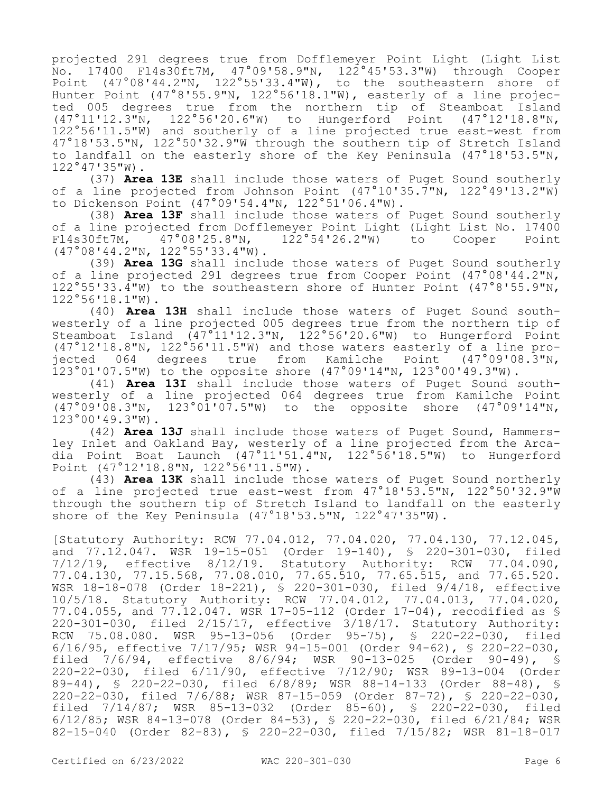projected 291 degrees true from Dofflemeyer Point Light (Light List No. 17400 Fl4s30ft7M, 47°09'58.9"N, 122°45'53.3"W) through Cooper Point (47°08'44.2"N, 122°55'33.4"W), to the southeastern shore of Hunter Point (47°8'55.9"N, 122°56'18.1"W), easterly of a line projected 005 degrees true from the northern tip of Steamboat Island (47°11'12.3"N, 122°56'20.6"W) to Hungerford Point (47°12'18.8"N, 122°56'11.5"W) and southerly of a line projected true east-west from 47°18'53.5"N, 122°50'32.9"W through the southern tip of Stretch Island to landfall on the easterly shore of the Key Peninsula (47°18'53.5"N, 122°47'35"W).

(37) **Area 13E** shall include those waters of Puget Sound southerly of a line projected from Johnson Point  $(47°10'35.\overline{7}''N, 122°49'13.2''W)$ to Dickenson Point (47°09'54.4"N, 122°51'06.4"W).

(38) **Area 13F** shall include those waters of Puget Sound southerly of a line projected from Dofflemeyer Point Light (Light List No. 17400<br>Fl4s30ft7M, 47°08'25.8"N, 122°54'26.2"W) to Cooper Point Fl4s30ft7M, 47°08'25.8"N, 122°54'26.2"W) to Cooper Point (47°08'44.2"N, 122°55'33.4"W).

(39) **Area 13G** shall include those waters of Puget Sound southerly of a line projected 291 degrees true from Cooper Point (47°08'44.2"N, 122°55'33.4"W) to the southeastern shore of Hunter Point (47°8'55.9"N, 122°56'18.1"W).

(40) **Area 13H** shall include those waters of Puget Sound southwesterly of a line projected 005 degrees true from the northern tip of Steamboat Island (47°11'12.3"N, 122°56'20.6"W) to Hungerford Point (47°12'18.8"N, 122°56'11.5"W) and those waters easterly of a line projected 064 degrees true from Kamilche Point (47°09'08.3"N, 123°01'07.5"W) to the opposite shore (47°09'14"N, 123°00'49.3"W).

(41) **Area 13I** shall include those waters of Puget Sound southwesterly of a line projected 064 degrees true from Kamilche Point (47°09'08.3"N, 123°01'07.5"W) to the opposite shore (47°09'14"N, 123°00'49.3"W).

(42) **Area 13J** shall include those waters of Puget Sound, Hammersley Inlet and Oakland Bay, westerly of a line projected from the Arcadia Point Boat Launch (47°11'51.4"N, 122°56'18.5"W) to Hungerford Point (47°12'18.8"N, 122°56'11.5"W).

(43) **Area 13K** shall include those waters of Puget Sound northerly of a line projected true east-west from 47°18'53.5"N, 122°50'32.9"W through the southern tip of Stretch Island to landfall on the easterly shore of the Key Peninsula  $(47°18'53.5''N, 122°47'35''W)$ .

[Statutory Authority: RCW 77.04.012, 77.04.020, 77.04.130, 77.12.045, and 77.12.047. WSR 19-15-051 (Order 19-140), § 220-301-030, filed 7/12/19, effective 8/12/19. Statutory Authority: RCW 77.04.090, 77.04.130, 77.15.568, 77.08.010, 77.65.510, 77.65.515, and 77.65.520. WSR 18-18-078 (Order 18-221), § 220-301-030, filed 9/4/18, effective 10/5/18. Statutory Authority: RCW 77.04.012, 77.04.013, 77.04.020, 77.04.055, and 77.12.047. WSR 17-05-112 (Order 17-04), recodified as § 220-301-030, filed 2/15/17, effective 3/18/17. Statutory Authority: RCW 75.08.080. WSR 95-13-056 (Order 95-75), § 220-22-030, filed 6/16/95, effective 7/17/95; WSR 94-15-001 (Order 94-62), § 220-22-030, filed 7/6/94, effective 8/6/94; WSR 90-13-025 (Order 90-49), § 220-22-030, filed 6/11/90, effective 7/12/90; WSR 89-13-004 (Order 89-44), § 220-22-030, filed 6/8/89; WSR 88-14-133 (Order 88-48), § 220-22-030, filed 7/6/88; WSR 87-15-059 (Order 87-72), § 220-22-030, filed 7/14/87; WSR 85-13-032 (Order 85-60), § 220-22-030, filed 6/12/85; WSR 84-13-078 (Order 84-53), § 220-22-030, filed 6/21/84; WSR 82-15-040 (Order 82-83), § 220-22-030, filed 7/15/82; WSR 81-18-017